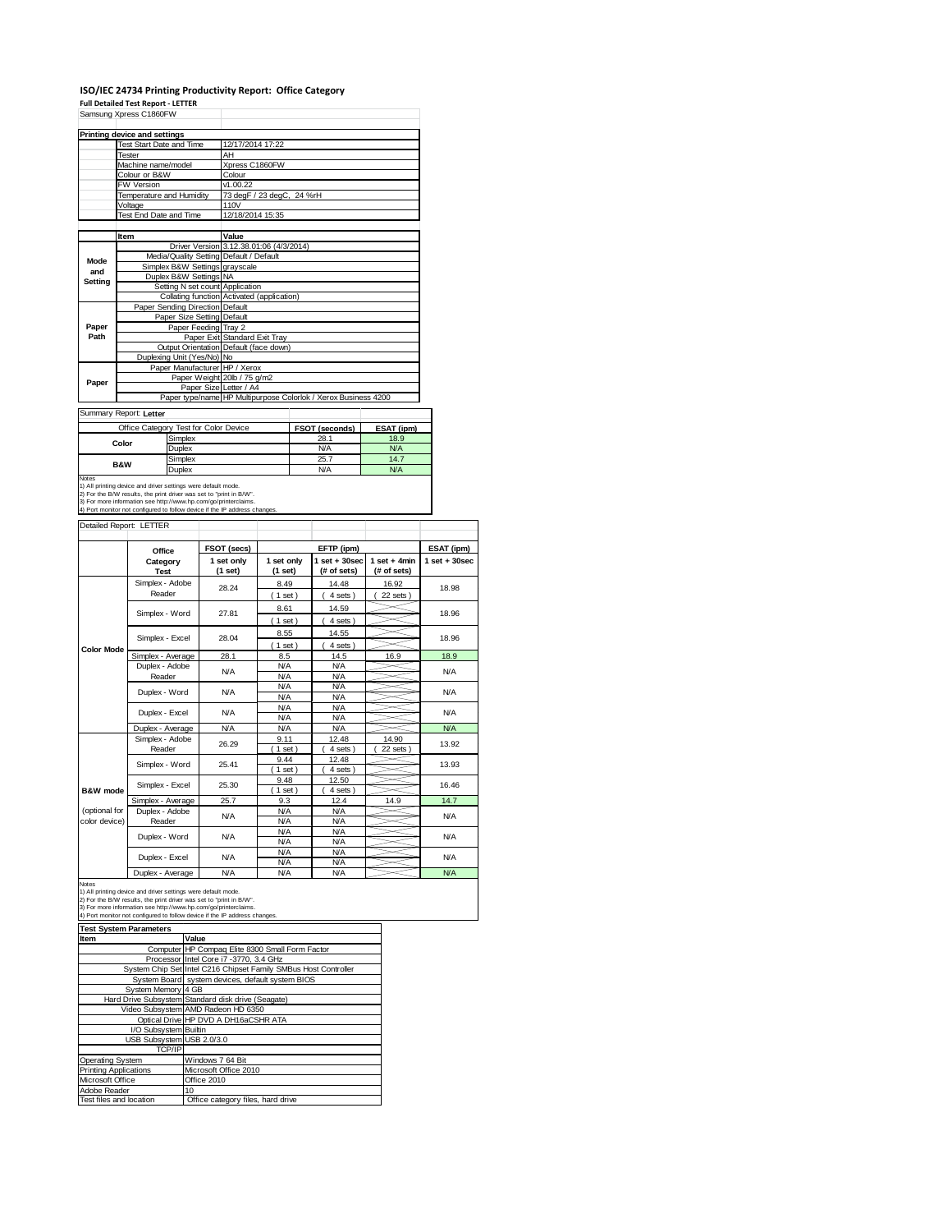# **ISO/IEC 24734 Printing Productivity Report: Office Category**

|                                | <b>Full Detailed Test Report - LETTER</b><br>Samsung Xpress C1860FW                                   |                                        |  |                                                                           |                          |        |                                                                |                                |                                |
|--------------------------------|-------------------------------------------------------------------------------------------------------|----------------------------------------|--|---------------------------------------------------------------------------|--------------------------|--------|----------------------------------------------------------------|--------------------------------|--------------------------------|
|                                | Printing device and settings                                                                          |                                        |  |                                                                           |                          |        |                                                                |                                |                                |
|                                | <b>Test Start Date and Time</b>                                                                       |                                        |  | 12/17/2014 17:22                                                          |                          |        |                                                                |                                |                                |
|                                | Tester                                                                                                |                                        |  | AΗ                                                                        |                          |        |                                                                |                                |                                |
|                                | Machine name/model                                                                                    |                                        |  | Xpress C1860FW                                                            |                          |        |                                                                |                                |                                |
|                                | Colour or B&W                                                                                         |                                        |  | Colour                                                                    |                          |        |                                                                |                                |                                |
|                                | FW Version                                                                                            |                                        |  | M.00.22                                                                   |                          |        |                                                                |                                |                                |
|                                | <b>Temperature and Humidity</b><br>Voltage                                                            |                                        |  | 73 degF / 23 degC,<br>110V                                                |                          | 24 %rH |                                                                |                                |                                |
|                                | Test End Date and Time                                                                                |                                        |  | 12/18/2014 15:35                                                          |                          |        |                                                                |                                |                                |
|                                | Item                                                                                                  |                                        |  | Value                                                                     |                          |        |                                                                |                                |                                |
|                                |                                                                                                       |                                        |  | Driver Version 3.12.38.01:06 (4/3/2014)                                   |                          |        |                                                                |                                |                                |
| Mode                           |                                                                                                       |                                        |  | Media/Quality Setting Default / Default<br>Simplex B&W Settings grayscale |                          |        |                                                                |                                |                                |
| and                            |                                                                                                       | Duplex B&W Settings NA                 |  |                                                                           |                          |        |                                                                |                                |                                |
| Setting                        |                                                                                                       |                                        |  | Setting N set count Application                                           |                          |        |                                                                |                                |                                |
|                                |                                                                                                       |                                        |  | Collating function Activated (application)                                |                          |        |                                                                |                                |                                |
|                                |                                                                                                       | <b>Paper Sending Direction Default</b> |  |                                                                           |                          |        |                                                                |                                |                                |
|                                |                                                                                                       | Paper Size Setting Default             |  |                                                                           |                          |        |                                                                |                                |                                |
| Paper<br>Path                  |                                                                                                       | Paper Feeding Tray 2                   |  | Paper Exit Standard Exit Tray                                             |                          |        |                                                                |                                |                                |
|                                |                                                                                                       |                                        |  | Output Orientation Default (face down)                                    |                          |        |                                                                |                                |                                |
|                                |                                                                                                       | Duplexing Unit (Yes/No) No             |  |                                                                           |                          |        |                                                                |                                |                                |
|                                |                                                                                                       |                                        |  | Paper Manufacturer HP / Xerox                                             |                          |        |                                                                |                                |                                |
| Paper                          |                                                                                                       |                                        |  | Paper Weight 20lb / 75 g/m2                                               |                          |        |                                                                |                                |                                |
|                                |                                                                                                       |                                        |  | Paper Size Letter / A4                                                    |                          |        |                                                                |                                |                                |
|                                |                                                                                                       |                                        |  |                                                                           |                          |        | Paper type/name HP Multipurpose Colorlok / Xerox Business 4200 |                                |                                |
|                                | Summary Report: Letter                                                                                |                                        |  |                                                                           |                          |        |                                                                |                                |                                |
|                                | Office Category Test for Color Device                                                                 |                                        |  |                                                                           |                          |        | FSOT (seconds)                                                 | ESAT (ipm)                     |                                |
|                                | Color                                                                                                 | Simplex<br>Duplex                      |  |                                                                           |                          |        | 28.1<br><b>N/A</b>                                             | 18.9<br><b>N/A</b>             |                                |
|                                |                                                                                                       | Simplex                                |  |                                                                           |                          |        | 25.7                                                           | 14.7                           |                                |
|                                | B&W                                                                                                   | Duplex                                 |  |                                                                           |                          |        | N/A                                                            | <b>N/A</b>                     |                                |
|                                |                                                                                                       |                                        |  | 2) For the B/W results, the print driver was set to "print in B/W".       |                          |        |                                                                |                                |                                |
|                                | 4) Port monitor not configured to follow device if the IP address changes.<br>Detailed Report: LETTER |                                        |  | 3) For more information see http://www.hp.com/go/printerclaims.           |                          |        |                                                                |                                |                                |
|                                |                                                                                                       |                                        |  |                                                                           |                          |        |                                                                |                                |                                |
|                                | Office                                                                                                |                                        |  | FSOT (secs)                                                               |                          |        | EFTP (ipm)                                                     |                                |                                |
|                                | Category                                                                                              |                                        |  | 1 set only<br>(1 set)                                                     | 1 set only<br>(1 set)    |        | $1$ set $+30$ sec<br>(# of sets)                               | $1 set + 4 min$<br>(# of sets) |                                |
|                                | <b>Test</b><br>Simplex - Adobe                                                                        |                                        |  |                                                                           |                          |        | 14.48                                                          | 16.92                          |                                |
|                                | Reader                                                                                                |                                        |  | 28.24                                                                     | 8.49                     |        |                                                                |                                | 18.98                          |
|                                |                                                                                                       |                                        |  |                                                                           | (1 set)                  |        | 4 sets)                                                        | 22 sets)                       |                                |
|                                | Simplex - Word                                                                                        |                                        |  | 27.81                                                                     | 8.61                     |        | 14.59                                                          |                                | 18.96                          |
|                                |                                                                                                       |                                        |  |                                                                           | (1 set)                  |        | 4 sets)                                                        |                                | ESAT (ipm)<br>$1 set + 30 sec$ |
|                                | Simplex - Excel                                                                                       |                                        |  | 28.04                                                                     | 8.55                     |        | 14.55                                                          |                                | 18.96                          |
| <b>Color Mode</b>              |                                                                                                       |                                        |  | 28.1                                                                      | (1 set)<br>8.5           |        | 4 sets)<br>14.5                                                | 16.9                           | 18.9                           |
|                                | Simplex - Average                                                                                     |                                        |  |                                                                           |                          |        | N/A                                                            |                                |                                |
|                                | Duplex - Adobe<br>Reader                                                                              |                                        |  | <b>N/A</b>                                                                | N/A<br><b>N/A</b>        |        | <b>N/A</b>                                                     |                                | <b>N/A</b>                     |
|                                |                                                                                                       |                                        |  |                                                                           | <b>N/A</b>               |        | <b>N/A</b>                                                     |                                |                                |
|                                | Duplex - Word                                                                                         |                                        |  | <b>N/A</b>                                                                | <b>N/A</b>               |        | <b>N/A</b>                                                     |                                | N/A                            |
|                                | Duplex - Excel                                                                                        |                                        |  | <b>N/A</b>                                                                | <b>N/A</b>               |        | N/A                                                            |                                | <b>N/A</b>                     |
|                                |                                                                                                       |                                        |  |                                                                           | <b>N/A</b>               |        | <b>N/A</b>                                                     |                                |                                |
|                                | Duplex - Average                                                                                      |                                        |  | <b>N/A</b>                                                                | <b>N/A</b>               |        | <b>N/A</b>                                                     |                                | N/A                            |
|                                | Simplex - Adobe<br>Reader                                                                             |                                        |  | 26.29                                                                     | 9.11<br>$1$ set)         |        | 12.48<br>4 sets)                                               | 14.90<br>22 sets)              | 13.92                          |
|                                |                                                                                                       |                                        |  |                                                                           | 9.44                     |        | 12.48                                                          |                                |                                |
|                                | Simplex - Word                                                                                        |                                        |  | 25.41                                                                     | $1$ set)                 |        | 4 sets                                                         |                                | 13.93                          |
|                                |                                                                                                       |                                        |  | 25.30                                                                     | 9.48                     |        | 12.50                                                          |                                | 16.46                          |
| <b>B&amp;W</b> mode            | Simplex - Excel                                                                                       |                                        |  |                                                                           | $1$ set)                 |        | 4 sets                                                         |                                |                                |
|                                | Simplex - Average                                                                                     |                                        |  | 25.7                                                                      | 9.3                      |        | 12.4                                                           | 14.9                           | 14.7                           |
| (optional for<br>color device) | Duplex - Adobe<br>Reader                                                                              |                                        |  | <b>N/A</b>                                                                | <b>N/A</b><br><b>N/A</b> |        | <b>N/A</b><br><b>N/A</b>                                       |                                | <b>N/A</b>                     |
|                                |                                                                                                       |                                        |  |                                                                           | N/A                      |        | N/A                                                            |                                |                                |
|                                | Duplex - Word                                                                                         |                                        |  | <b>N/A</b>                                                                | <b>N/A</b>               |        | <b>N/A</b>                                                     |                                | <b>N/A</b>                     |
|                                | Duplex - Excel                                                                                        |                                        |  | <b>N/A</b>                                                                | <b>N/A</b><br><b>N/A</b> |        | ΝA<br><b>N/A</b>                                               |                                | <b>N/A</b>                     |

Notes<br>1) All printing device and driver settings were default mode.<br>2) For the B/W results, the print driver was set to "print in B/W".<br>3) For more information see http://www.hp.com/go/printerclaims.<br>4) Port monitor not co

| <b>Test System Parameters</b> |                                                                 |  |  |  |
|-------------------------------|-----------------------------------------------------------------|--|--|--|
| <b>Item</b>                   | Value                                                           |  |  |  |
|                               | Computer HP Compag Elite 8300 Small Form Factor                 |  |  |  |
|                               | Processor Intel Core i7 -3770, 3.4 GHz                          |  |  |  |
|                               | System Chip Set Intel C216 Chipset Family SMBus Host Controller |  |  |  |
|                               | System Board system devices, default system BIOS                |  |  |  |
| System Memory 4 GB            |                                                                 |  |  |  |
|                               | Hard Drive Subsystem Standard disk drive (Seagate)              |  |  |  |
|                               | Video Subsystem AMD Radeon HD 6350                              |  |  |  |
|                               | Optical Drive HP DVD A DH16aCSHR ATA                            |  |  |  |
| I/O Subsystem Builtin         |                                                                 |  |  |  |
| USB Subsystem USB 2.0/3.0     |                                                                 |  |  |  |
| <b>TCP/IP</b>                 |                                                                 |  |  |  |
| Operating System              | Windows 7 64 Bit                                                |  |  |  |
| <b>Printing Applications</b>  | Microsoft Office 2010                                           |  |  |  |
| Microsoft Office              | Office 2010                                                     |  |  |  |
| Adobe Reader                  | 10                                                              |  |  |  |
| Test files and location       | Office category files, hard drive                               |  |  |  |

Duplex - Average N/A N/A N/A N/A N/A N/A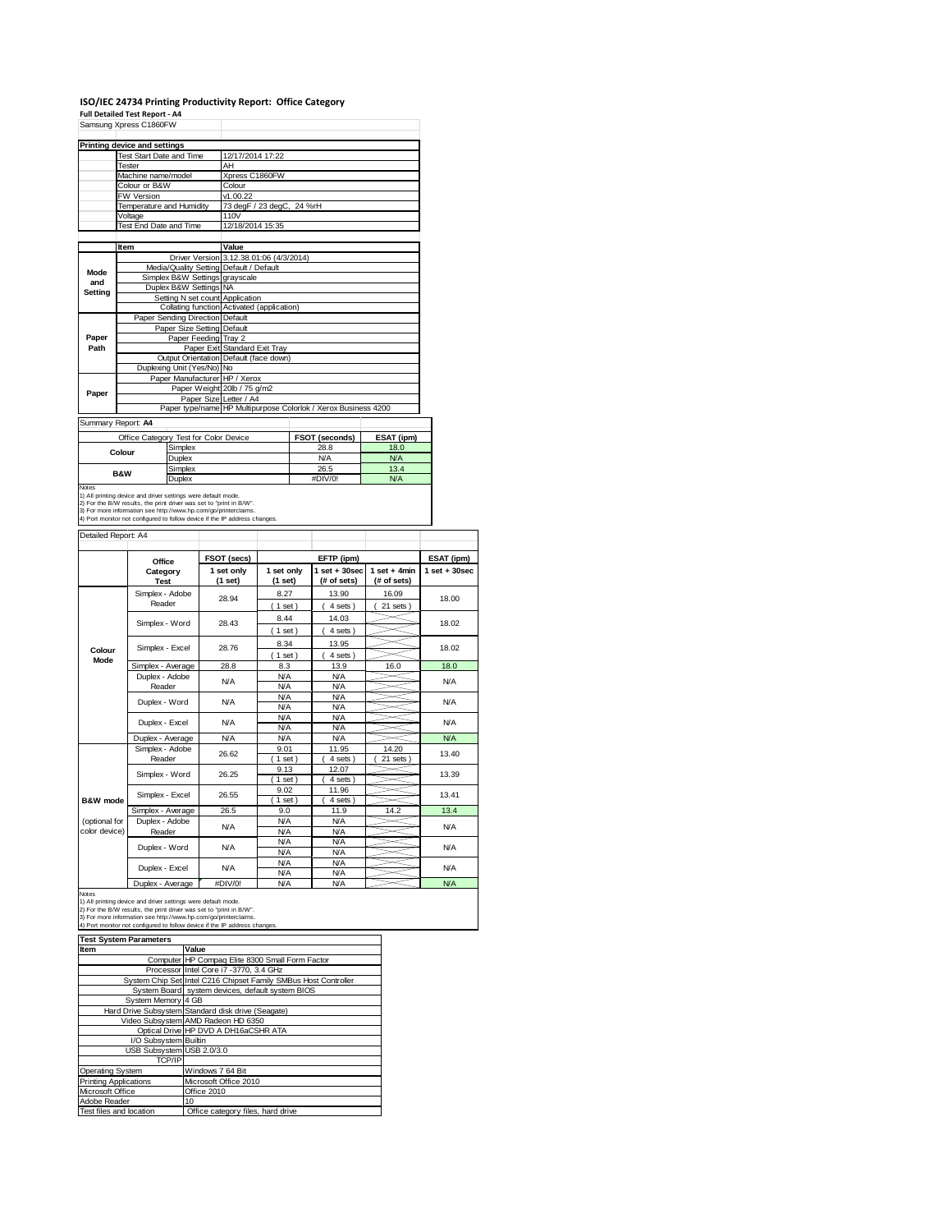## **ISO/IEC 24734 Printing Productivity Report: Office Category Full Detailed Test Report ‐ A4**

|         | Samsung Xpress C1860FW                  |                                            |                                                                |            |  |
|---------|-----------------------------------------|--------------------------------------------|----------------------------------------------------------------|------------|--|
|         | Printing device and settings            |                                            |                                                                |            |  |
|         | Test Start Date and Time                | 12/17/2014 17:22                           |                                                                |            |  |
|         | <b>Tester</b>                           | AH                                         |                                                                |            |  |
|         | Machine name/model                      | Xpress C1860FW                             |                                                                |            |  |
|         | Colour or B&W                           | Colour                                     |                                                                |            |  |
|         | <b>FW Version</b>                       | v1.00.22                                   |                                                                |            |  |
|         | Temperature and Humidity                | 73 degF / 23 degC, 24 %rH                  |                                                                |            |  |
|         | Voltage                                 | 110V                                       |                                                                |            |  |
|         | Test End Date and Time                  | 12/18/2014 15:35                           |                                                                |            |  |
|         |                                         |                                            |                                                                |            |  |
|         | Item                                    | Value                                      |                                                                |            |  |
|         |                                         | Driver Version 3.12.38.01:06 (4/3/2014)    |                                                                |            |  |
| Mode    | Media/Quality Setting Default / Default |                                            |                                                                |            |  |
| and     | Simplex B&W Settings grayscale          |                                            |                                                                |            |  |
| Setting | Duplex B&W Settings NA                  |                                            |                                                                |            |  |
|         | Setting N set count Application         |                                            |                                                                |            |  |
|         |                                         | Collating function Activated (application) |                                                                |            |  |
|         | Paper Sending Direction Default         |                                            |                                                                |            |  |
|         | Paper Size Setting Default              |                                            |                                                                |            |  |
| Paper   | Paper Feeding Tray 2                    |                                            |                                                                |            |  |
| Path    |                                         | Paper Exit Standard Exit Tray              |                                                                |            |  |
|         |                                         | Output Orientation Default (face down)     |                                                                |            |  |
|         | Duplexing Unit (Yes/No) No              |                                            |                                                                |            |  |
|         | Paper Manufacturer HP / Xerox           |                                            |                                                                |            |  |
| Paper   |                                         | Paper Weight 20lb / 75 g/m2                |                                                                |            |  |
|         | Paper Size Letter / A4                  |                                            |                                                                |            |  |
|         |                                         |                                            | Paper type/name HP Multipurpose Colorlok / Xerox Business 4200 |            |  |
|         | Summary Report: A4                      |                                            |                                                                |            |  |
|         | Office Category Test for Color Device   |                                            | FSOT (seconds)                                                 | ESAT (ipm) |  |
|         | Simplex                                 |                                            | 28.8                                                           | 18.0       |  |

Example May NA NA NA<br>
Simplex 26.5 13.4<br>
Duplex #DIV/0! NA Simplex 26.5 13.4<br>Duplex #DIV/0! N/A Notes<br>1) All printing device and driver settings were default mode.<br>2) For the B/W results, the print driver was set to "print in B/W".<br>3) For more information see http://www.hp.com/go/printerclaims.<br>4) Port monitor not co **Colour B&W**

| Detailed Report: A4            |                           |                       |                          |                                  |                               |                   |
|--------------------------------|---------------------------|-----------------------|--------------------------|----------------------------------|-------------------------------|-------------------|
|                                | Office                    | FSOT (secs)           |                          | EFTP (ipm)                       |                               | ESAT (ipm)        |
|                                | Category<br><b>Test</b>   | 1 set only<br>(1 set) | 1 set only<br>(1 set)    | $1$ set $+30$ sec<br>(# of sets) | $1$ set + 4min<br>(# of sets) | $1$ set $+30$ sec |
|                                | Simplex - Adobe<br>Reader | 28.94                 | 8.27<br>$1$ set)         | 13.90<br>4 sets)                 | 16.09<br>21 sets              | 18.00             |
|                                | Simplex - Word            | 28.43                 | 8.44<br>$1$ set)         | 14.03<br>4 sets)                 |                               | 18.02             |
| Colour                         | Simplex - Excel           | 28.76                 | 8.34<br>$1$ set)         | 13.95<br>4 sets)                 |                               | 18.02             |
| Mode                           | Simplex - Average         | 28.8                  | 8.3                      | 13.9                             | 16.0                          | 18.0              |
|                                | Duplex - Adobe<br>Reader  | <b>N/A</b>            | <b>N/A</b><br><b>N/A</b> | <b>N/A</b><br><b>N/A</b>         |                               | <b>N/A</b>        |
|                                | Duplex - Word             | <b>N/A</b>            | <b>N/A</b><br><b>N/A</b> | <b>N/A</b><br><b>N/A</b>         |                               | N/A               |
|                                | Duplex - Excel            | N/A                   | <b>N/A</b><br><b>N/A</b> | <b>N/A</b><br><b>N/A</b>         |                               | <b>N/A</b>        |
|                                | Duplex - Average          | <b>N/A</b>            | <b>N/A</b>               | <b>N/A</b>                       |                               | <b>N/A</b>        |
|                                | Simplex - Adobe<br>Reader | 26.62                 | 9.01<br>$1$ set)         | 11.95<br>4 sets                  | 14.20<br>21 sets              | 13.40             |
|                                | Simplex - Word            | 26.25                 | 9.13<br>$1$ set          | 12.07<br>4 sets                  |                               | 13.39             |
| B&W mode                       | Simplex - Excel           | 26.55                 | 9.02<br>$1$ set)         | 11.96<br>4 sets                  |                               | 13.41             |
|                                | Simplex - Average         | 26.5                  | 9.0                      | 11.9                             | 14.2                          | 13.4              |
| (optional for<br>color device) | Duplex - Adobe<br>Reader  | <b>N/A</b>            | <b>N/A</b><br><b>N/A</b> | <b>N/A</b><br><b>N/A</b>         |                               | <b>N/A</b>        |
|                                | Duplex - Word             | <b>N/A</b>            | <b>N/A</b><br>N/A        | <b>N/A</b><br><b>N/A</b>         |                               | <b>N/A</b>        |
|                                | Duplex - Excel            | <b>N/A</b>            | <b>N/A</b><br><b>N/A</b> | <b>N/A</b><br><b>N/A</b>         |                               | <b>N/A</b>        |
|                                | Duplex - Average          | #DIV/0!               | N/A                      | <b>N/A</b>                       |                               | N/A               |

Notes<br>1) All printing device and driver settings were default mode.<br>2) For the B/W results, the print driver was set to "print in B/W".<br>3) For more information see http://www.hp.com/go/printerclaims.<br>4) Port monitor not co

| <b>Test System Parameters</b> |                                                                 |  |  |  |
|-------------------------------|-----------------------------------------------------------------|--|--|--|
| <b>Item</b>                   | Value                                                           |  |  |  |
|                               | Computer HP Compag Elite 8300 Small Form Factor                 |  |  |  |
|                               | Processor Intel Core i7 -3770, 3.4 GHz                          |  |  |  |
|                               | System Chip Set Intel C216 Chipset Family SMBus Host Controller |  |  |  |
|                               | System Board system devices, default system BIOS                |  |  |  |
| System Memory 4 GB            |                                                                 |  |  |  |
|                               | Hard Drive Subsystem Standard disk drive (Seagate)              |  |  |  |
|                               | Video Subsystem AMD Radeon HD 6350                              |  |  |  |
|                               | Optical Drive HP DVD A DH16aCSHR ATA                            |  |  |  |
| I/O Subsystem Builtin         |                                                                 |  |  |  |
| USB Subsystem USB 2.0/3.0     |                                                                 |  |  |  |
| <b>TCP/IP</b>                 |                                                                 |  |  |  |
| <b>Operating System</b>       | Windows 7 64 Bit                                                |  |  |  |
| <b>Printing Applications</b>  | Microsoft Office 2010                                           |  |  |  |
| Microsoft Office              | Office 2010                                                     |  |  |  |
| Adobe Reader                  | 10                                                              |  |  |  |
| Test files and location       | Office category files, hard drive                               |  |  |  |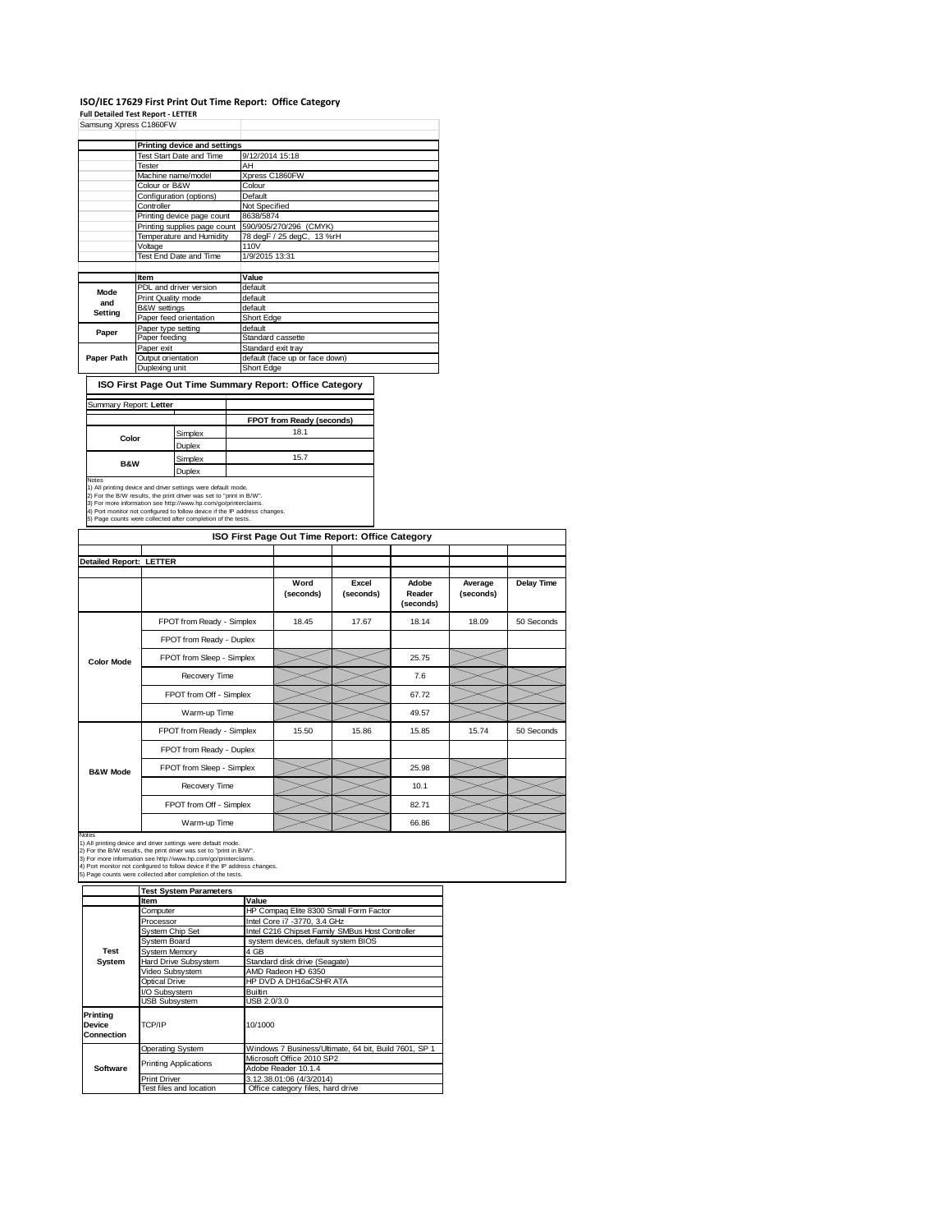### **ISO/IEC 17629 First Print Out Time Report: Office Category**

**Full Detailed Test Report ‐ LETTER**

| Samsung Xpress C1860FW |                              |                                |
|------------------------|------------------------------|--------------------------------|
|                        | Printing device and settings |                                |
|                        | Test Start Date and Time     | 9/12/2014 15:18                |
|                        | Tester                       | AH                             |
|                        | Machine name/model           | Xpress C1860FW                 |
|                        | Colour or B&W                | Colour                         |
|                        | Configuration (options)      | Default                        |
|                        | Controller                   | Not Specified                  |
|                        | Printing device page count   | 8638/5874                      |
|                        | Printing supplies page count | 590/905/270/296 (CMYK)         |
|                        | Temperature and Humidity     | 78 degF / 25 degC, 13 %rH      |
|                        | Voltage                      | 110V                           |
|                        | Test End Date and Time       | 1/9/2015 13:31                 |
|                        |                              |                                |
|                        | Item                         | Value                          |
| Mode                   | PDL and driver version       | default                        |
| and                    | Print Quality mode           | default                        |
| Setting                | B&W settings                 | default                        |
|                        | Paper feed orientation       | Short Edge                     |
| Paper                  | Paper type setting           | default                        |
|                        | Paper feeding                | Standard cassette              |
|                        | Paper exit                   | Standard exit tray             |
| Paper Path             | Output orientation           | default (face up or face down) |
|                        | Duplexing unit               | Short Edge                     |

**ISO First Page Out Time Summary Report: Office Category**

### Summary Report: **Letter** T

|                |         | FPOT from Ready (seconds) |
|----------------|---------|---------------------------|
| Color          | Simplex | 18.1                      |
|                | Duplex  |                           |
| <b>B&amp;W</b> | Simplex | 15.7                      |
|                | Duplex  |                           |

Notes<br>
Notes<br>
1) All printing device and driver settings were default mode.<br>
2) For the BAW results, the print driver was set to "print in BAW".<br>
3) For more information see http://www.hp.com/go/printerciaims.<br>
4) Port mon

|                         |                           | ISO First Page Out Time Report: Office Category |                    |                              |                      |            |
|-------------------------|---------------------------|-------------------------------------------------|--------------------|------------------------------|----------------------|------------|
| Detailed Report: LETTER |                           |                                                 |                    |                              |                      |            |
|                         |                           | Word<br>(seconds)                               | Excel<br>(seconds) | Adobe<br>Reader<br>(seconds) | Average<br>(seconds) | Delay Time |
|                         | FPOT from Ready - Simplex | 18.45                                           | 17.67              | 18.14                        | 18.09                | 50 Seconds |
|                         | FPOT from Ready - Duplex  |                                                 |                    |                              |                      |            |
| <b>Color Mode</b>       | FPOT from Sleep - Simplex |                                                 |                    | 25.75                        |                      |            |
|                         | Recovery Time             |                                                 |                    | 7.6                          |                      |            |
|                         | FPOT from Off - Simplex   |                                                 |                    | 67.72                        |                      |            |
|                         | Warm-up Time              |                                                 |                    | 49.57                        |                      |            |
|                         | FPOT from Ready - Simplex | 15.50                                           | 15.86              | 15.85                        | 15.74                | 50 Seconds |
|                         | FPOT from Ready - Duplex  |                                                 |                    |                              |                      |            |
| <b>B&amp;W Mode</b>     | FPOT from Sleep - Simplex |                                                 |                    | 25.98                        |                      |            |
|                         | Recovery Time             |                                                 |                    | 10.1                         |                      |            |
|                         | FPOT from Off - Simplex   |                                                 |                    | 82.71                        |                      |            |
|                         | Warm-up Time              |                                                 |                    | 66.86                        |                      |            |

Notes<br>1) All printing device and driver settings were default mode.<br>2) For the B/W results, the print driver was set to "print in B/W".<br>3) For more information see http://www.hp.com/go/printerclaims.<br>4) Port monitor not co

| 5) Page counts were collected after completion of the tests. |
|--------------------------------------------------------------|
|                                                              |

|                                  | <b>Test System Parameters</b>   |                                                       |  |  |
|----------------------------------|---------------------------------|-------------------------------------------------------|--|--|
|                                  | <b>Item</b>                     | Value                                                 |  |  |
|                                  | Computer                        | HP Compaq Elite 8300 Small Form Factor                |  |  |
|                                  | Processor                       | Intel Core i7 -3770, 3.4 GHz                          |  |  |
|                                  | System Chip Set                 | Intel C216 Chipset Family SMBus Host Controller       |  |  |
|                                  | System Board                    | system devices, default system BIOS                   |  |  |
| Test                             | System Memory                   | 4 GB                                                  |  |  |
| System                           | Hard Drive Subsystem            | Standard disk drive (Seagate)                         |  |  |
|                                  | Video Subsystem                 | AMD Radeon HD 6350                                    |  |  |
|                                  | <b>Optical Drive</b>            | HP DVD A DH16aCSHR ATA                                |  |  |
|                                  | <b>Builtin</b><br>I/O Subsystem |                                                       |  |  |
|                                  | <b>USB Subsystem</b>            | USB 2.0/3.0                                           |  |  |
| Printing<br>Device<br>Connection | TCP/IP                          | 10/1000                                               |  |  |
|                                  | <b>Operating System</b>         | Windows 7 Business/Ultimate, 64 bit, Build 7601, SP 1 |  |  |
|                                  |                                 | Microsoft Office 2010 SP2                             |  |  |
| Software                         | <b>Printing Applications</b>    | Adobe Reader 10.1.4                                   |  |  |
|                                  | <b>Print Driver</b>             | 3.12.38.01:06 (4/3/2014)                              |  |  |
|                                  | Test files and location         | Office category files, hard drive                     |  |  |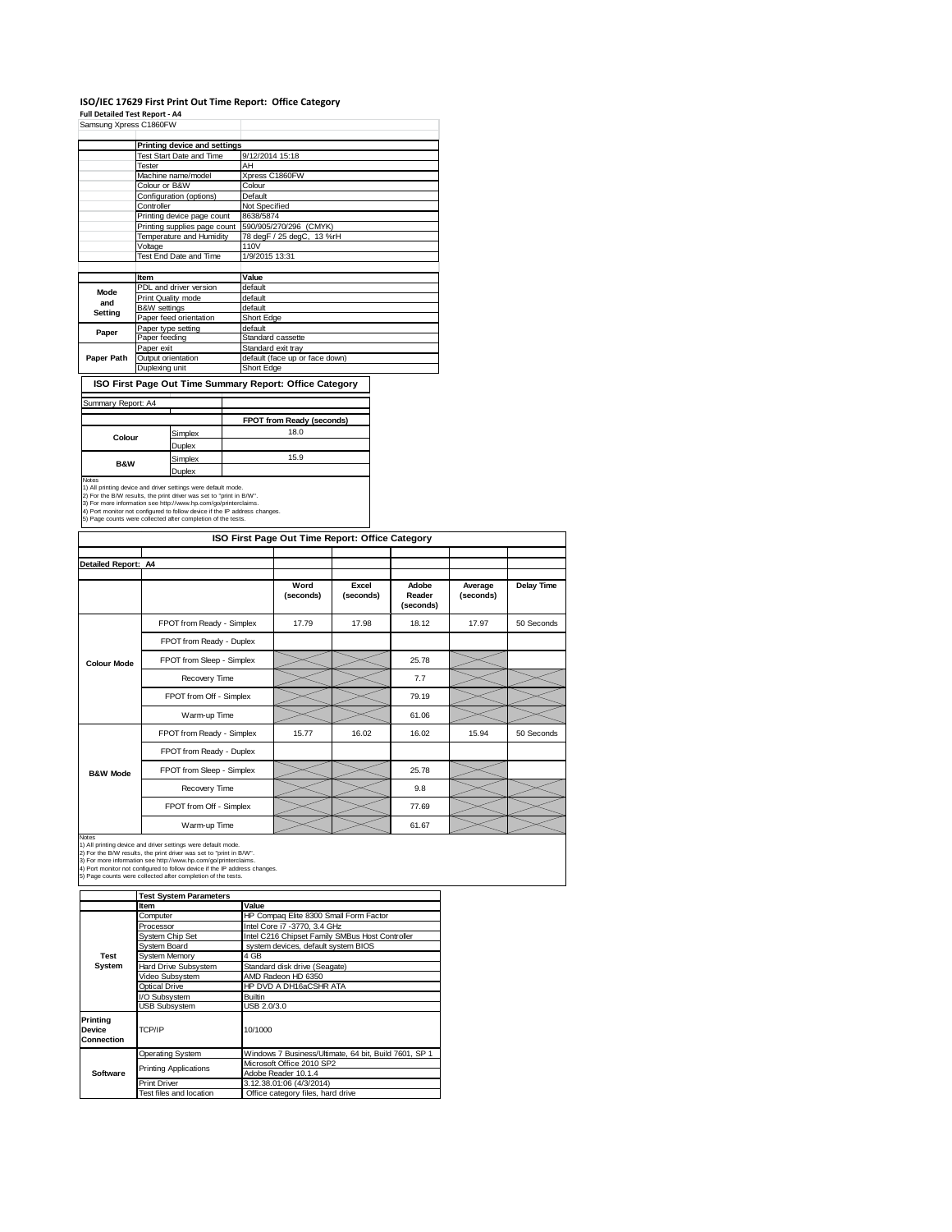### **ISO/IEC 17629 First Print Out Time Report: Office Category**

**Full Detailed Test Report ‐ A4**

| Samsung Xpress C1860FW |                              |                                |  |  |
|------------------------|------------------------------|--------------------------------|--|--|
|                        | Printing device and settings |                                |  |  |
|                        | Test Start Date and Time     | 9/12/2014 15:18                |  |  |
|                        | <b>Tester</b>                | AH                             |  |  |
|                        | Machine name/model           | Xpress C1860FW                 |  |  |
|                        | Colour or B&W                | Colour                         |  |  |
|                        | Configuration (options)      | Default                        |  |  |
|                        | Controller                   | Not Specified                  |  |  |
|                        | Printing device page count   | 8638/5874                      |  |  |
|                        | Printing supplies page count | 590/905/270/296 (CMYK)         |  |  |
|                        | Temperature and Humidity     | 78 degF / 25 degC, 13 %rH      |  |  |
|                        | Voltage                      | 110V                           |  |  |
|                        | Test End Date and Time       | 1/9/2015 13:31                 |  |  |
|                        |                              |                                |  |  |
|                        | Item                         | Value                          |  |  |
| Mode                   | PDL and driver version       | default                        |  |  |
| and                    | Print Quality mode           | default                        |  |  |
| <b>Setting</b>         | <b>B&amp;W</b> settings      | default                        |  |  |
|                        | Paper feed orientation       | Short Edge                     |  |  |
| Paper                  | Paper type setting           | default                        |  |  |
|                        | Paper feeding                | Standard cassette              |  |  |
|                        | Paper exit                   | Standard exit tray             |  |  |
| Paper Path             | Output orientation           | default (face up or face down) |  |  |
|                        | Duplexing unit               | Short Edge                     |  |  |

**ISO First Page Out Time Summary Report: Office Category**  $\mathcal{L}$ 

### Summary Report: A4 ┓

|                |         | FPOT from Ready (seconds) |
|----------------|---------|---------------------------|
|                | Simplex | 18.0                      |
| Colour         | Duplex  |                           |
| <b>B&amp;W</b> | Simplex | 15.9                      |
|                | Duplex  |                           |

Notes<br>
Notes<br>
1) All printing divide and driver settings were default mode.<br>
2) For the BW results, the print driver was set to "print in BWV".<br>
3) For more information see http://www.hp.com/go/printerciaims.<br>
4) Port mo

|                     |                           | ISO First Page Out Time Report: Office Category |                    |                              |                      |            |
|---------------------|---------------------------|-------------------------------------------------|--------------------|------------------------------|----------------------|------------|
| Detailed Report: A4 |                           |                                                 |                    |                              |                      |            |
|                     |                           | Word<br>(seconds)                               | Excel<br>(seconds) | Adobe<br>Reader<br>(seconds) | Average<br>(seconds) | Delay Time |
|                     | FPOT from Ready - Simplex | 17.79                                           | 17.98              | 18.12                        | 17.97                | 50 Seconds |
|                     | FPOT from Ready - Duplex  |                                                 |                    |                              |                      |            |
| <b>Colour Mode</b>  | FPOT from Sleep - Simplex |                                                 |                    | 25.78                        |                      |            |
|                     | Recovery Time             |                                                 |                    | 7.7                          |                      |            |
|                     | FPOT from Off - Simplex   |                                                 |                    | 79.19                        |                      |            |
|                     | Warm-up Time              |                                                 |                    | 61.06                        |                      |            |
|                     | FPOT from Ready - Simplex | 15.77                                           | 16.02              | 16.02                        | 15.94                | 50 Seconds |
|                     | FPOT from Ready - Duplex  |                                                 |                    |                              |                      |            |
| <b>B&amp;W Mode</b> | FPOT from Sleep - Simplex |                                                 |                    | 25.78                        |                      |            |
|                     | Recovery Time             |                                                 |                    | 9.8                          |                      |            |
|                     | FPOT from Off - Simplex   |                                                 |                    | 77.69                        |                      |            |
|                     | Warm-up Time              |                                                 |                    | 61.67                        |                      |            |

Notes<br>1) All printing device and driver settings were default mode.<br>2) For the B/W results, the print driver was set to "print in B/W".<br>3) For more information see http://www.hp.com/go/printerclaims.<br>4) Port monitor not co

|                                  | <b>Test System Parameters</b>                       |                                                       |  |  |  |
|----------------------------------|-----------------------------------------------------|-------------------------------------------------------|--|--|--|
|                                  | <b>Item</b>                                         | Value                                                 |  |  |  |
|                                  | Computer                                            | HP Compaq Elite 8300 Small Form Factor                |  |  |  |
|                                  | Processor                                           | Intel Core i7 -3770, 3.4 GHz                          |  |  |  |
|                                  | System Chip Set                                     | Intel C216 Chipset Family SMBus Host Controller       |  |  |  |
|                                  | System Board<br>system devices, default system BIOS |                                                       |  |  |  |
| Test                             | <b>System Memory</b>                                | 4 GB                                                  |  |  |  |
| System                           | Hard Drive Subsystem                                | Standard disk drive (Seagate)                         |  |  |  |
|                                  | Video Subsystem                                     | AMD Radeon HD 6350                                    |  |  |  |
|                                  | Optical Drive                                       | HP DVD A DH16aCSHR ATA                                |  |  |  |
|                                  | I/O Subsystem                                       | <b>Builtin</b>                                        |  |  |  |
|                                  | <b>USB Subsystem</b>                                | USB 2.0/3.0                                           |  |  |  |
| Printing<br>Device<br>Connection | TCP/IP                                              | 10/1000                                               |  |  |  |
|                                  | <b>Operating System</b>                             | Windows 7 Business/Ultimate, 64 bit, Build 7601, SP 1 |  |  |  |
|                                  | Printing Applications                               | Microsoft Office 2010 SP2                             |  |  |  |
| Software                         |                                                     | Adobe Reader 10.1.4                                   |  |  |  |
|                                  | Print Driver                                        | 3.12.38.01:06 (4/3/2014)                              |  |  |  |
|                                  | Test files and location                             | Office category files, hard drive                     |  |  |  |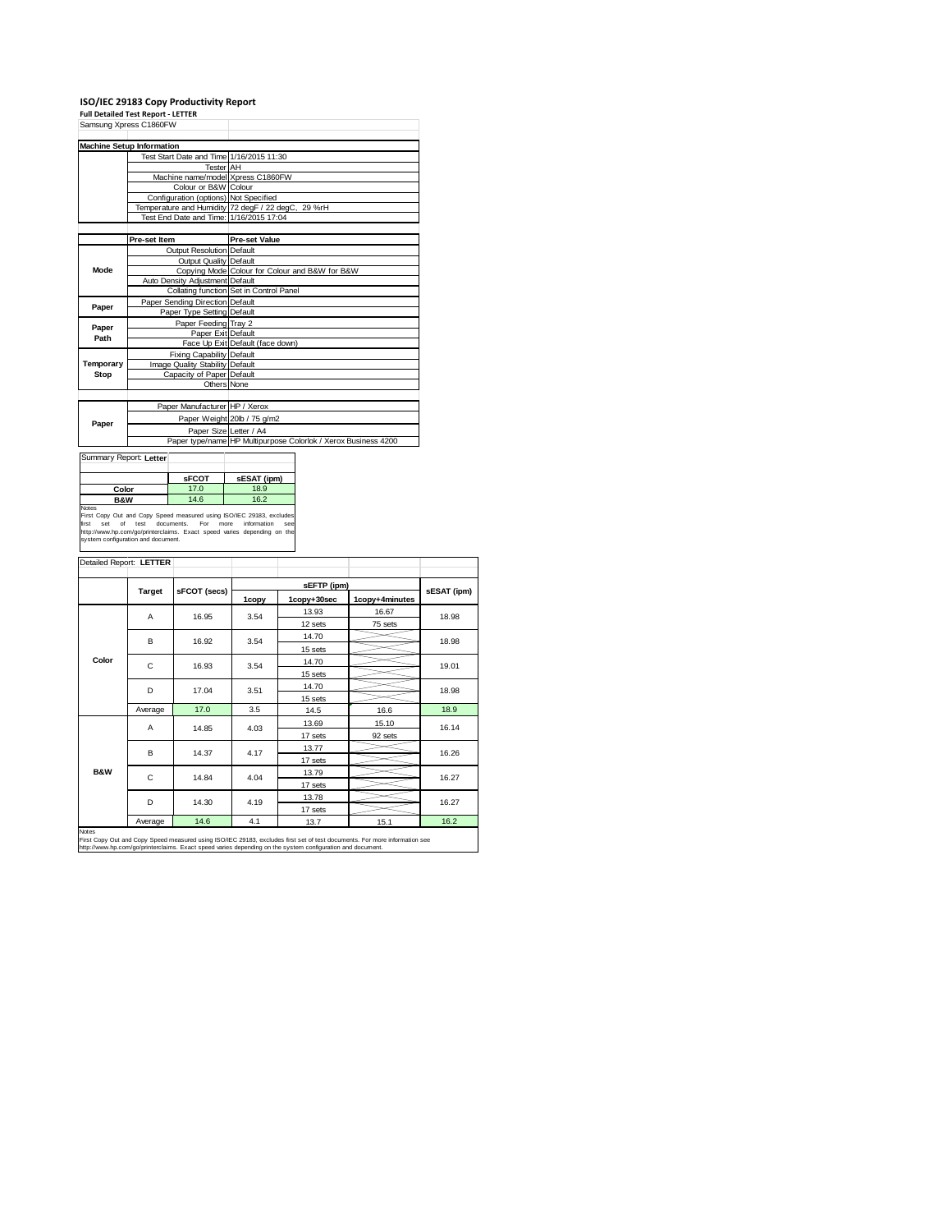# **ISO/IEC 29183 Copy Productivity Report Full Detailed Test Report ‐ LETTER**

|           | Samsung Xpress C1860FW                   |                                                                |
|-----------|------------------------------------------|----------------------------------------------------------------|
|           | <b>Machine Setup Information</b>         |                                                                |
|           | Test Start Date and Time 1/16/2015 11:30 |                                                                |
|           | Tester AH                                |                                                                |
|           | Machine name/model Xpress C1860FW        |                                                                |
|           | Colour or B&W Colour                     |                                                                |
|           | Configuration (options) Not Specified    |                                                                |
|           |                                          | Temperature and Humidity 72 degF / 22 degC, 29 %rH             |
|           | Test End Date and Time: 1/16/2015 17:04  |                                                                |
|           |                                          |                                                                |
|           | Pre-set Item                             | <b>Pre-set Value</b>                                           |
|           | Output Resolution Default                |                                                                |
|           | <b>Output Quality Default</b>            |                                                                |
| Mode      |                                          | Copying Mode Colour for Colour and B&W for B&W                 |
|           | Auto Density Adjustment Default          |                                                                |
|           |                                          | Collating function Set in Control Panel                        |
| Paper     | Paper Sending Direction Default          |                                                                |
|           | Paper Type Setting Default               |                                                                |
| Paper     | Paper Feeding Tray 2                     |                                                                |
| Path      | Paper Exit Default                       |                                                                |
|           |                                          | Face Up Exit Default (face down)                               |
|           | Fixing Capability Default                |                                                                |
| Temporary | Image Quality Stability Default          |                                                                |
| Stop      | Capacity of Paper Default                |                                                                |
|           | Others None                              |                                                                |
|           |                                          |                                                                |
|           | Paper Manufacturer HP / Xerox            |                                                                |
| Paper     |                                          | Paper Weight 20lb / 75 g/m2                                    |
|           | Paper Size Letter / A4                   |                                                                |
|           |                                          | Paper type/name HP Multipurpose Colorlok / Xerox Business 4200 |

|                | <b>SFCOT</b> | sESAT (ipm) |
|----------------|--------------|-------------|
| Color          | 17.0         | 18.9        |
| <b>B&amp;W</b> | 14.6         | 16.2        |

first set of test documents. For more information see<br>http://www.hp.com/go/printerclaims. Exact speed varies depending on the<br>system.configuration.and.document.

| Target  | sFCOT (secs)               |                                           |                       |                                                     | sESAT (ipm)                                       |  |
|---------|----------------------------|-------------------------------------------|-----------------------|-----------------------------------------------------|---------------------------------------------------|--|
|         |                            |                                           |                       |                                                     |                                                   |  |
|         |                            |                                           |                       |                                                     | 18.98                                             |  |
|         |                            | 3.54                                      |                       |                                                     | 18.98                                             |  |
|         |                            |                                           |                       |                                                     |                                                   |  |
|         |                            | 3.54                                      | 14.70                 |                                                     | 19.01                                             |  |
|         |                            |                                           | 15 sets               |                                                     |                                                   |  |
| D       | 17.04                      | 3.51                                      | 14.70                 |                                                     | 18.98                                             |  |
|         |                            |                                           | 15 sets               |                                                     |                                                   |  |
| Average | 17.0                       | 3.5                                       | 14.5                  | 16.6                                                | 18.9                                              |  |
| A       | 14.85                      | 4.03                                      | 13.69                 | 15.10                                               | 16.14                                             |  |
|         |                            |                                           | 17 sets               | 92 sets                                             |                                                   |  |
|         |                            | 4.17                                      | 13.77                 |                                                     | 16.26                                             |  |
|         |                            |                                           | 17 sets               |                                                     |                                                   |  |
|         |                            |                                           | 13.79                 |                                                     | 16.27                                             |  |
|         |                            |                                           | 17 sets               |                                                     |                                                   |  |
|         | 14.30                      | 4.19                                      | 13.78                 |                                                     | 16.27                                             |  |
|         |                            |                                           | 17 sets               |                                                     |                                                   |  |
| Average | 14.6                       | 4.1                                       | 13.7                  | 15.1                                                | 16.2                                              |  |
|         | A<br>в<br>C<br>B<br>C<br>D | 16.95<br>16.92<br>16.93<br>14.37<br>14.84 | 1copy<br>3.54<br>4.04 | 1copy+30sec<br>13.93<br>12 sets<br>14.70<br>15 sets | sEFTP (ipm)<br>1copy+4minutes<br>16.67<br>75 sets |  |

Notes<br>First Copy Out and Copy Speed measured using ISO/IEC 29183, excludes first set of test documents. For more information see<br>http://www.hp.com/go/printerclaims. Exact speed varies depending on the system configuration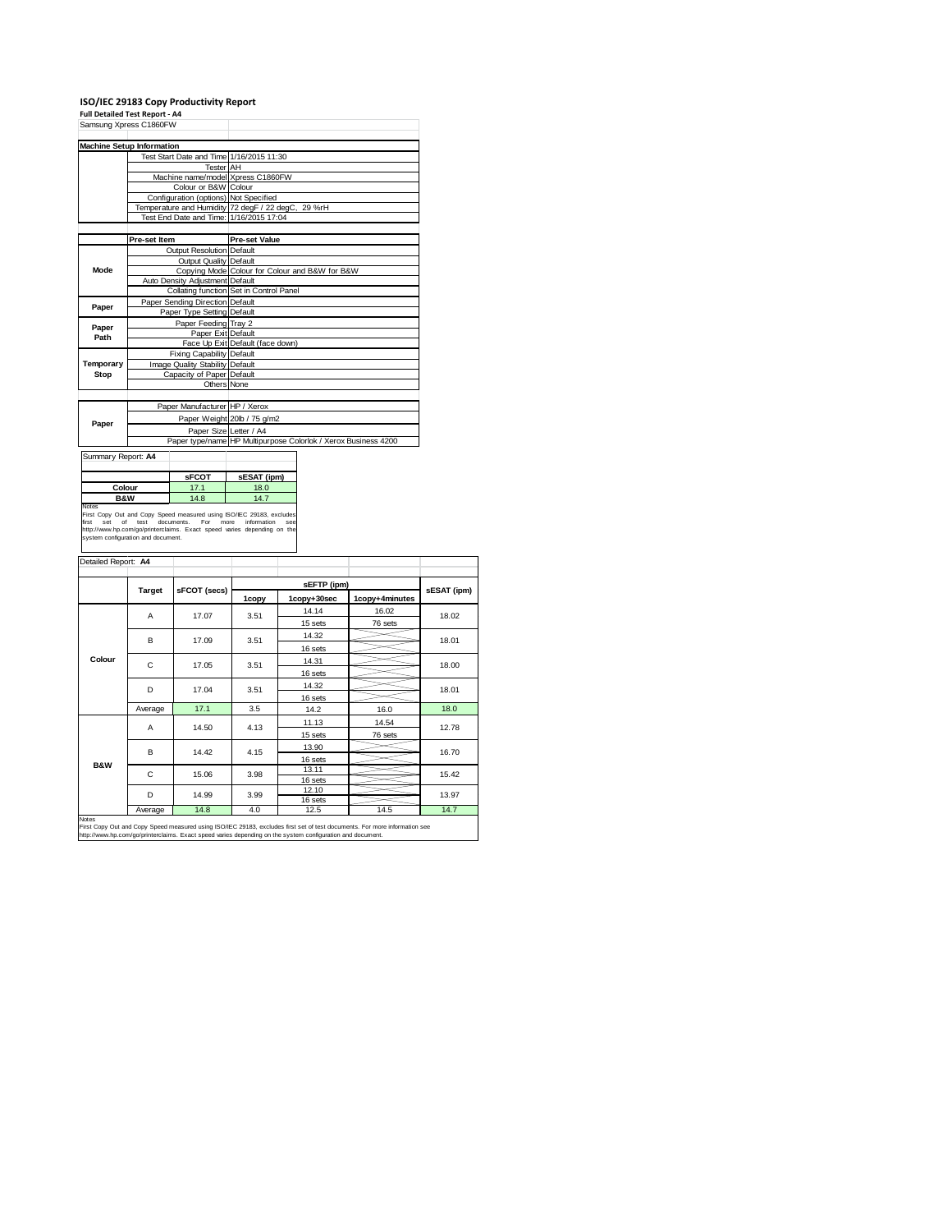|           | ISO/IEC 29183 Copy Productivity Report   |                                                                |  |  |
|-----------|------------------------------------------|----------------------------------------------------------------|--|--|
|           | <b>Full Detailed Test Report - A4</b>    |                                                                |  |  |
|           | Samsung Xpress C1860FW                   |                                                                |  |  |
|           |                                          |                                                                |  |  |
|           | <b>Machine Setup Information</b>         |                                                                |  |  |
|           | Test Start Date and Time 1/16/2015 11:30 |                                                                |  |  |
|           | <b>Tester</b> AH                         |                                                                |  |  |
|           | Machine name/model Xpress C1860FW        |                                                                |  |  |
|           | Colour or B&W Colour                     |                                                                |  |  |
|           | Configuration (options) Not Specified    |                                                                |  |  |
|           |                                          | Temperature and Humidity 72 degF / 22 degC, 29 %rH             |  |  |
|           | Test End Date and Time: 1/16/2015 17:04  |                                                                |  |  |
|           |                                          |                                                                |  |  |
|           | Pre-set Item                             | <b>Pre-set Value</b>                                           |  |  |
|           | Output Resolution Default                |                                                                |  |  |
|           | <b>Output Quality Default</b>            |                                                                |  |  |
| Mode      |                                          | Copying Mode Colour for Colour and B&W for B&W                 |  |  |
|           | Auto Density Adjustment Default          |                                                                |  |  |
|           |                                          | Collating function Set in Control Panel                        |  |  |
| Paper     | Paper Sending Direction Default          |                                                                |  |  |
|           | Paper Type Setting Default               |                                                                |  |  |
| Paper     | Paper Feeding Tray 2                     |                                                                |  |  |
| Path      | Paper Exit Default                       |                                                                |  |  |
|           |                                          | Face Up Exit Default (face down)                               |  |  |
|           | Fixing Capability Default                |                                                                |  |  |
| Temporary | Image Quality Stability Default          |                                                                |  |  |
| Stop      | Capacity of Paper Default                |                                                                |  |  |
|           | Others None                              |                                                                |  |  |
|           |                                          |                                                                |  |  |
|           | Paper Manufacturer HP / Xerox            |                                                                |  |  |
| Paper     |                                          | Paper Weight 20lb / 75 g/m2                                    |  |  |
|           | Paper Size Letter / A4                   |                                                                |  |  |
|           |                                          | Paper type/name HP Multipurpose Colorlok / Xerox Business 4200 |  |  |

| Summary Report: A4                                                            |              |             |  |  |  |  |  |
|-------------------------------------------------------------------------------|--------------|-------------|--|--|--|--|--|
|                                                                               | <b>SFCOT</b> | sESAT (ipm) |  |  |  |  |  |
| Colour                                                                        | 17.1         | 18.0        |  |  |  |  |  |
| <b>B&amp;W</b>                                                                | 14.8         | 14.7        |  |  |  |  |  |
| Notes<br>First Copy Out and Copy Speed measured using ISO/IEC 29183, excludes |              |             |  |  |  |  |  |

First Copy Out and Copy Speed measured using ISO/IEC 29183, excludes<br>first set of test documents. For more information see<br>http://www.hp.com/go/printerclaims. Exact speed varies depending on the<br>system.configuration.and.do

|                |         |              |       | sEFTP (ipm) |                |             |  |
|----------------|---------|--------------|-------|-------------|----------------|-------------|--|
|                | Target  | sFCOT (secs) | 1copy | 1copy+30sec | 1copy+4minutes | sESAT (ipm) |  |
|                | A       | 17.07        | 3.51  | 14.14       | 16.02          | 18.02       |  |
|                |         |              |       | 15 sets     | 76 sets        |             |  |
|                | B       | 17.09        | 3.51  | 14.32       |                | 18.01       |  |
|                |         |              |       | 16 sets     |                |             |  |
| Colour         | C       | 17.05        | 3.51  | 14.31       |                |             |  |
|                |         |              |       | 16 sets     |                | 18.00       |  |
|                | D       | 17.04        | 3.51  | 14.32       |                | 18.01       |  |
|                |         |              |       | 16 sets     |                |             |  |
|                | Average | 17.1         | 3.5   | 14.2        | 16.0           | 18.0        |  |
|                | A       | 14.50        | 4.13  | 11.13       | 14.54          | 12.78       |  |
|                |         |              |       | 15 sets     | 76 sets        |             |  |
|                | B       | 14.42        | 4.15  | 13.90       |                | 16.70       |  |
|                |         |              |       | 16 sets     |                |             |  |
| <b>B&amp;W</b> | C       | 15.06        | 3.98  | 13.11       |                | 15.42       |  |
|                |         |              |       | 16 sets     |                |             |  |
|                | D       | 14.99        | 3.99  | 12.10       |                | 13.97       |  |
|                |         |              |       | 16 sets     |                |             |  |
| Notes          | Average | 14.8         | 4.0   | 12.5        | 14.5           | 14.7        |  |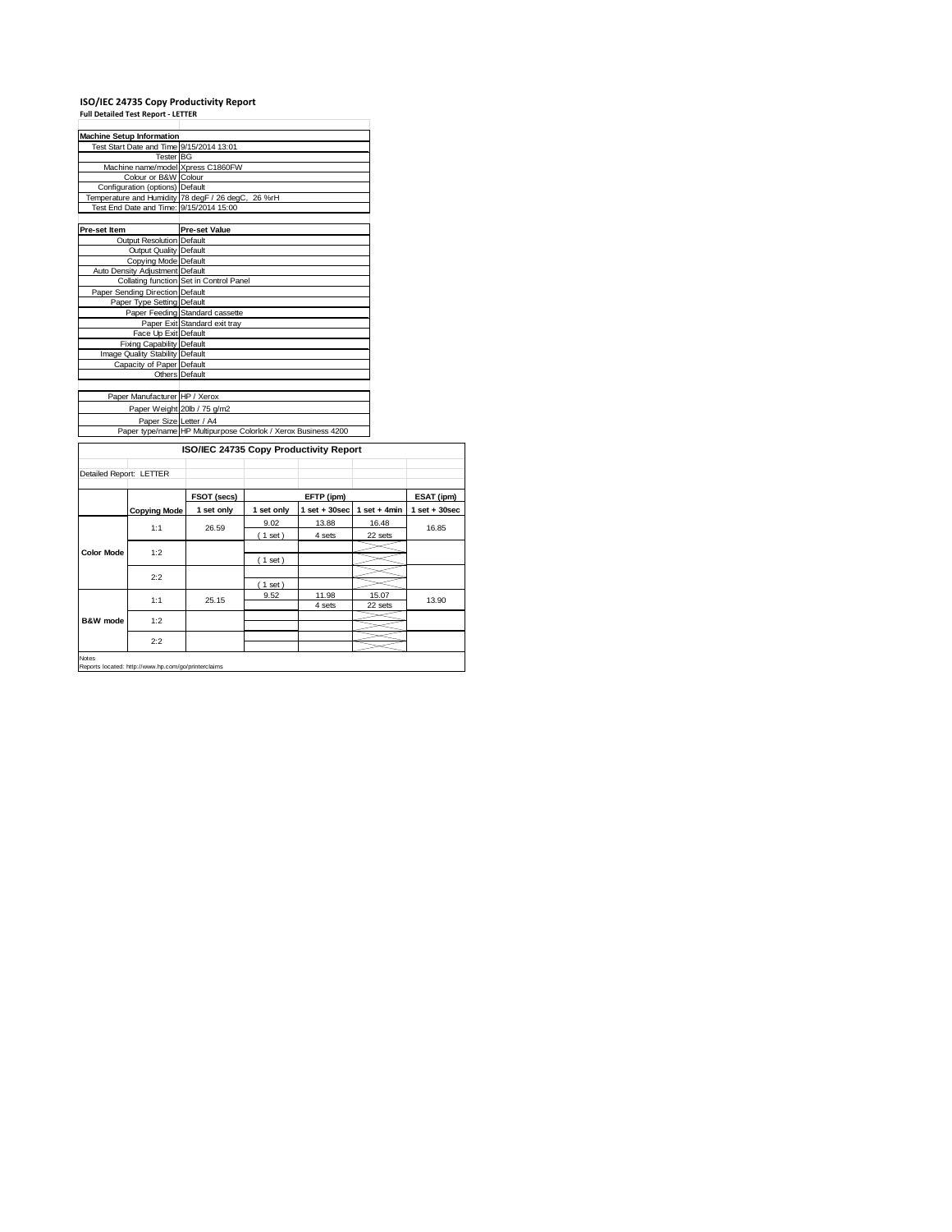## **ISO/IEC 24735 Copy Productivity Report Full Detailed Test Report ‐ LETTER**

|                         | <b>Machine Setup Information</b> |                                                                |            |                  |                |                 |  |  |
|-------------------------|----------------------------------|----------------------------------------------------------------|------------|------------------|----------------|-----------------|--|--|
|                         |                                  | Test Start Date and Time 9/15/2014 13:01                       |            |                  |                |                 |  |  |
|                         | <b>Tester BG</b>                 |                                                                |            |                  |                |                 |  |  |
|                         |                                  | Machine name/model Xpress C1860FW                              |            |                  |                |                 |  |  |
|                         | Colour or B&W Colour             |                                                                |            |                  |                |                 |  |  |
|                         | Configuration (options) Default  |                                                                |            |                  |                |                 |  |  |
|                         |                                  | Temperature and Humidity 78 degF / 26 degC, 26 %rH             |            |                  |                |                 |  |  |
|                         |                                  | Test End Date and Time: 9/15/2014 15:00                        |            |                  |                |                 |  |  |
|                         |                                  |                                                                |            |                  |                |                 |  |  |
| Pre-set Item            |                                  | <b>Pre-set Value</b>                                           |            |                  |                |                 |  |  |
|                         | Output Resolution Default        |                                                                |            |                  |                |                 |  |  |
|                         | Output Quality Default           |                                                                |            |                  |                |                 |  |  |
|                         | Copying Mode Default             |                                                                |            |                  |                |                 |  |  |
|                         | Auto Density Adjustment Default  |                                                                |            |                  |                |                 |  |  |
|                         |                                  | Collating function Set in Control Panel                        |            |                  |                |                 |  |  |
|                         | Paper Sending Direction Default  |                                                                |            |                  |                |                 |  |  |
|                         | Paper Type Setting Default       |                                                                |            |                  |                |                 |  |  |
|                         |                                  | Paper Feeding Standard cassette                                |            |                  |                |                 |  |  |
|                         |                                  | Paper Exit Standard exit tray                                  |            |                  |                |                 |  |  |
|                         | Face Up Exit Default             |                                                                |            |                  |                |                 |  |  |
|                         | Fixing Capability Default        |                                                                |            |                  |                |                 |  |  |
|                         | Image Quality Stability Default  |                                                                |            |                  |                |                 |  |  |
|                         | Capacity of Paper Default        |                                                                |            |                  |                |                 |  |  |
|                         | Others Default                   |                                                                |            |                  |                |                 |  |  |
|                         | Paper Manufacturer HP / Xerox    |                                                                |            |                  |                |                 |  |  |
|                         |                                  | Paper Weight 20lb / 75 g/m2                                    |            |                  |                |                 |  |  |
|                         |                                  |                                                                |            |                  |                |                 |  |  |
|                         | Paper Size Letter / A4           | Paper type/name HP Multipurpose Colorlok / Xerox Business 4200 |            |                  |                |                 |  |  |
|                         |                                  |                                                                |            |                  |                |                 |  |  |
|                         |                                  | ISO/IEC 24735 Copy Productivity Report                         |            |                  |                |                 |  |  |
|                         |                                  |                                                                |            |                  |                |                 |  |  |
| Detailed Report: LETTER |                                  |                                                                |            |                  |                |                 |  |  |
|                         |                                  |                                                                |            |                  |                |                 |  |  |
|                         |                                  | FSOT (secs)                                                    |            | EFTP (ipm)       |                | ESAT (ipm)      |  |  |
|                         | <b>Copying Mode</b>              | 1 set only                                                     | 1 set only | $1 set + 30 sec$ | 1 set $+4$ min | $1$ set + 30sec |  |  |
|                         |                                  |                                                                | 9.02       | 13.88            | 16.48          |                 |  |  |
|                         | 1:1                              | 26.59                                                          | (1 set)    | 4 sets           | 22 sets        | 16.85           |  |  |
|                         |                                  |                                                                |            |                  |                |                 |  |  |
| <b>Color Mode</b>       | 1:2                              |                                                                | (1 set)    |                  |                |                 |  |  |
|                         |                                  |                                                                |            |                  |                |                 |  |  |
|                         | 2:2                              |                                                                |            |                  |                |                 |  |  |
|                         |                                  |                                                                | (1 set)    |                  |                |                 |  |  |
|                         | 1:1                              | 25.15                                                          | 9.52       | 11.98            | 15.07          | 13.90           |  |  |
|                         |                                  |                                                                |            | 4 sets           | 22 sets        |                 |  |  |
| <b>B&amp;W</b> mode     | 1:2                              |                                                                |            |                  |                |                 |  |  |
|                         |                                  |                                                                |            |                  |                |                 |  |  |
|                         | 2:2                              |                                                                |            |                  |                |                 |  |  |

Notes Reports located: http://www.hp.com/go/printerclaims